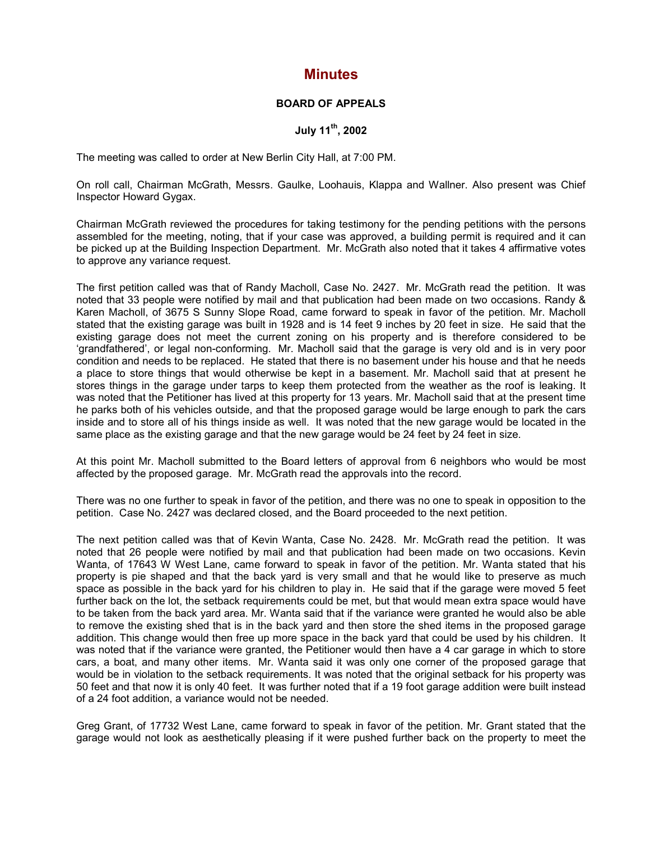## **Minutes**

## **BOARD OF APPEALS**

## **July 11th, 2002**

The meeting was called to order at New Berlin City Hall, at 7:00 PM.

On roll call, Chairman McGrath, Messrs. Gaulke, Loohauis, Klappa and Wallner. Also present was Chief Inspector Howard Gygax.

Chairman McGrath reviewed the procedures for taking testimony for the pending petitions with the persons assembled for the meeting, noting, that if your case was approved, a building permit is required and it can be picked up at the Building Inspection Department. Mr. McGrath also noted that it takes 4 affirmative votes to approve any variance request.

The first petition called was that of Randy Macholl, Case No. 2427. Mr. McGrath read the petition. It was noted that 33 people were notified by mail and that publication had been made on two occasions. Randy & Karen Macholl, of 3675 S Sunny Slope Road, came forward to speak in favor of the petition. Mr. Macholl stated that the existing garage was built in 1928 and is 14 feet 9 inches by 20 feet in size. He said that the existing garage does not meet the current zoning on his property and is therefore considered to be 'grandfathered', or legal non-conforming. Mr. Macholl said that the garage is very old and is in very poor condition and needs to be replaced. He stated that there is no basement under his house and that he needs a place to store things that would otherwise be kept in a basement. Mr. Macholl said that at present he stores things in the garage under tarps to keep them protected from the weather as the roof is leaking. It was noted that the Petitioner has lived at this property for 13 years. Mr. Macholl said that at the present time he parks both of his vehicles outside, and that the proposed garage would be large enough to park the cars inside and to store all of his things inside as well. It was noted that the new garage would be located in the same place as the existing garage and that the new garage would be 24 feet by 24 feet in size.

At this point Mr. Macholl submitted to the Board letters of approval from 6 neighbors who would be most affected by the proposed garage. Mr. McGrath read the approvals into the record.

There was no one further to speak in favor of the petition, and there was no one to speak in opposition to the petition. Case No. 2427 was declared closed, and the Board proceeded to the next petition.

The next petition called was that of Kevin Wanta, Case No. 2428. Mr. McGrath read the petition. It was noted that 26 people were notified by mail and that publication had been made on two occasions. Kevin Wanta, of 17643 W West Lane, came forward to speak in favor of the petition. Mr. Wanta stated that his property is pie shaped and that the back yard is very small and that he would like to preserve as much space as possible in the back yard for his children to play in. He said that if the garage were moved 5 feet further back on the lot, the setback requirements could be met, but that would mean extra space would have to be taken from the back yard area. Mr. Wanta said that if the variance were granted he would also be able to remove the existing shed that is in the back yard and then store the shed items in the proposed garage addition. This change would then free up more space in the back yard that could be used by his children. It was noted that if the variance were granted, the Petitioner would then have a 4 car garage in which to store cars, a boat, and many other items. Mr. Wanta said it was only one corner of the proposed garage that would be in violation to the setback requirements. It was noted that the original setback for his property was 50 feet and that now it is only 40 feet. It was further noted that if a 19 foot garage addition were built instead of a 24 foot addition, a variance would not be needed.

Greg Grant, of 17732 West Lane, came forward to speak in favor of the petition. Mr. Grant stated that the garage would not look as aesthetically pleasing if it were pushed further back on the property to meet the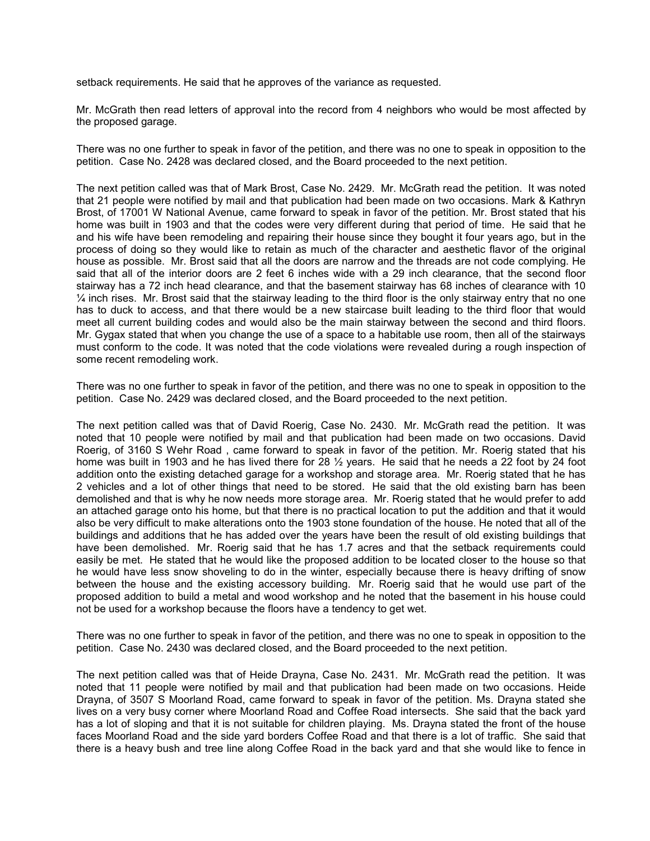setback requirements. He said that he approves of the variance as requested.

Mr. McGrath then read letters of approval into the record from 4 neighbors who would be most affected by the proposed garage.

There was no one further to speak in favor of the petition, and there was no one to speak in opposition to the petition. Case No. 2428 was declared closed, and the Board proceeded to the next petition.

The next petition called was that of Mark Brost, Case No. 2429. Mr. McGrath read the petition. It was noted that 21 people were notified by mail and that publication had been made on two occasions. Mark & Kathryn Brost, of 17001 W National Avenue, came forward to speak in favor of the petition. Mr. Brost stated that his home was built in 1903 and that the codes were very different during that period of time. He said that he and his wife have been remodeling and repairing their house since they bought it four years ago, but in the process of doing so they would like to retain as much of the character and aesthetic flavor of the original house as possible. Mr. Brost said that all the doors are narrow and the threads are not code complying. He said that all of the interior doors are 2 feet 6 inches wide with a 29 inch clearance, that the second floor stairway has a 72 inch head clearance, and that the basement stairway has 68 inches of clearance with 10  $\frac{1}{4}$  inch rises. Mr. Brost said that the stairway leading to the third floor is the only stairway entry that no one has to duck to access, and that there would be a new staircase built leading to the third floor that would meet all current building codes and would also be the main stairway between the second and third floors. Mr. Gygax stated that when you change the use of a space to a habitable use room, then all of the stairways must conform to the code. It was noted that the code violations were revealed during a rough inspection of some recent remodeling work.

There was no one further to speak in favor of the petition, and there was no one to speak in opposition to the petition. Case No. 2429 was declared closed, and the Board proceeded to the next petition.

The next petition called was that of David Roerig, Case No. 2430. Mr. McGrath read the petition. It was noted that 10 people were notified by mail and that publication had been made on two occasions. David Roerig, of 3160 S Wehr Road , came forward to speak in favor of the petition. Mr. Roerig stated that his home was built in 1903 and he has lived there for 28  $\frac{1}{2}$  years. He said that he needs a 22 foot by 24 foot addition onto the existing detached garage for a workshop and storage area. Mr. Roerig stated that he has 2 vehicles and a lot of other things that need to be stored. He said that the old existing barn has been demolished and that is why he now needs more storage area. Mr. Roerig stated that he would prefer to add an attached garage onto his home, but that there is no practical location to put the addition and that it would also be very difficult to make alterations onto the 1903 stone foundation of the house. He noted that all of the buildings and additions that he has added over the years have been the result of old existing buildings that have been demolished. Mr. Roerig said that he has 1.7 acres and that the setback requirements could easily be met. He stated that he would like the proposed addition to be located closer to the house so that he would have less snow shoveling to do in the winter, especially because there is heavy drifting of snow between the house and the existing accessory building. Mr. Roerig said that he would use part of the proposed addition to build a metal and wood workshop and he noted that the basement in his house could not be used for a workshop because the floors have a tendency to get wet.

There was no one further to speak in favor of the petition, and there was no one to speak in opposition to the petition. Case No. 2430 was declared closed, and the Board proceeded to the next petition.

The next petition called was that of Heide Drayna, Case No. 2431. Mr. McGrath read the petition. It was noted that 11 people were notified by mail and that publication had been made on two occasions. Heide Drayna, of 3507 S Moorland Road, came forward to speak in favor of the petition. Ms. Drayna stated she lives on a very busy corner where Moorland Road and Coffee Road intersects. She said that the back yard has a lot of sloping and that it is not suitable for children playing. Ms. Drayna stated the front of the house faces Moorland Road and the side yard borders Coffee Road and that there is a lot of traffic. She said that there is a heavy bush and tree line along Coffee Road in the back yard and that she would like to fence in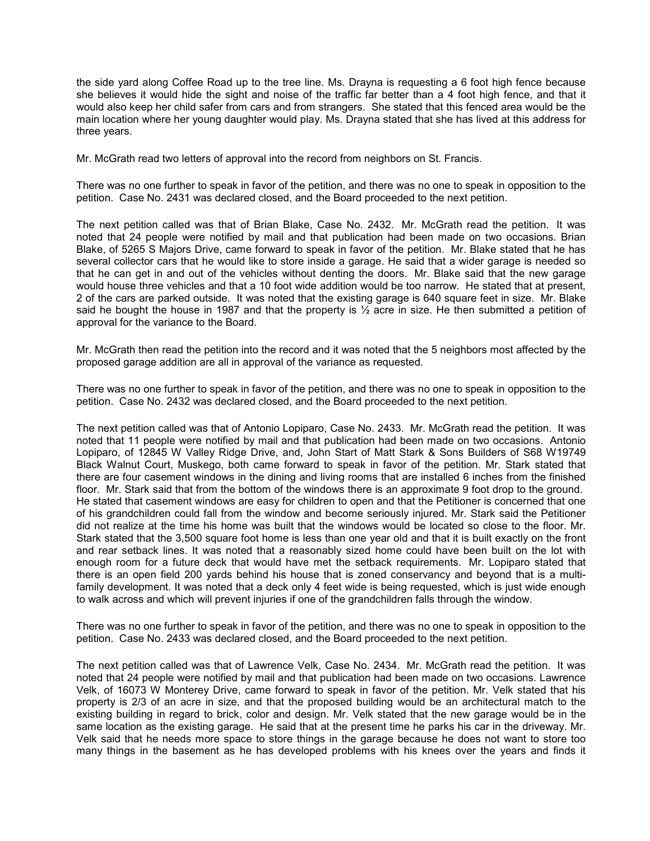the side yard along Coffee Road up to the tree line. Ms. Drayna is requesting a 6 foot high fence because she believes it would hide the sight and noise of the traffic far better than a 4 foot high fence, and that it would also keep her child safer from cars and from strangers. She stated that this fenced area would be the main location where her young daughter would play. Ms. Drayna stated that she has lived at this address for three years.

Mr. McGrath read two letters of approval into the record from neighbors on St. Francis.

There was no one further to speak in favor of the petition, and there was no one to speak in opposition to the petition. Case No. 2431 was declared closed, and the Board proceeded to the next petition.

The next petition called was that of Brian Blake, Case No. 2432. Mr. McGrath read the petition. It was noted that 24 people were notified by mail and that publication had been made on two occasions. Brian Blake, of 5265 S Majors Drive, came forward to speak in favor of the petition. Mr. Blake stated that he has several collector cars that he would like to store inside a garage. He said that a wider garage is needed so that he can get in and out of the vehicles without denting the doors. Mr. Blake said that the new garage would house three vehicles and that a 10 foot wide addition would be too narrow. He stated that at present, 2 of the cars are parked outside. It was noted that the existing garage is 640 square feet in size. Mr. Blake said he bought the house in 1987 and that the property is  $\frac{1}{2}$  acre in size. He then submitted a petition of approval for the variance to the Board.

Mr. McGrath then read the petition into the record and it was noted that the 5 neighbors most affected by the proposed garage addition are all in approval of the variance as requested.

There was no one further to speak in favor of the petition, and there was no one to speak in opposition to the petition. Case No. 2432 was declared closed, and the Board proceeded to the next petition.

The next petition called was that of Antonio Lopiparo, Case No. 2433. Mr. McGrath read the petition. It was noted that 11 people were notified by mail and that publication had been made on two occasions. Antonio Lopiparo, of 12845 W Valley Ridge Drive, and, John Start of Matt Stark & Sons Builders of S68 W19749 Black Walnut Court, Muskego, both came forward to speak in favor of the petition. Mr. Stark stated that there are four casement windows in the dining and living rooms that are installed 6 inches from the finished floor. Mr. Stark said that from the bottom of the windows there is an approximate 9 foot drop to the ground. He stated that casement windows are easy for children to open and that the Petitioner is concerned that one of his grandchildren could fall from the window and become seriously injured. Mr. Stark said the Petitioner did not realize at the time his home was built that the windows would be located so close to the floor. Mr. Stark stated that the 3,500 square foot home is less than one year old and that it is built exactly on the front and rear setback lines. It was noted that a reasonably sized home could have been built on the lot with enough room for a future deck that would have met the setback requirements. Mr. Lopiparo stated that there is an open field 200 yards behind his house that is zoned conservancy and beyond that is a multifamily development. It was noted that a deck only 4 feet wide is being requested, which is just wide enough to walk across and which will prevent injuries if one of the grandchildren falls through the window.

There was no one further to speak in favor of the petition, and there was no one to speak in opposition to the petition. Case No. 2433 was declared closed, and the Board proceeded to the next petition.

The next petition called was that of Lawrence Velk, Case No. 2434. Mr. McGrath read the petition. It was noted that 24 people were notified by mail and that publication had been made on two occasions. Lawrence Velk, of 16073 W Monterey Drive, came forward to speak in favor of the petition. Mr. Velk stated that his property is 2/3 of an acre in size, and that the proposed building would be an architectural match to the existing building in regard to brick, color and design. Mr. Velk stated that the new garage would be in the same location as the existing garage. He said that at the present time he parks his car in the driveway. Mr. Velk said that he needs more space to store things in the garage because he does not want to store too many things in the basement as he has developed problems with his knees over the years and finds it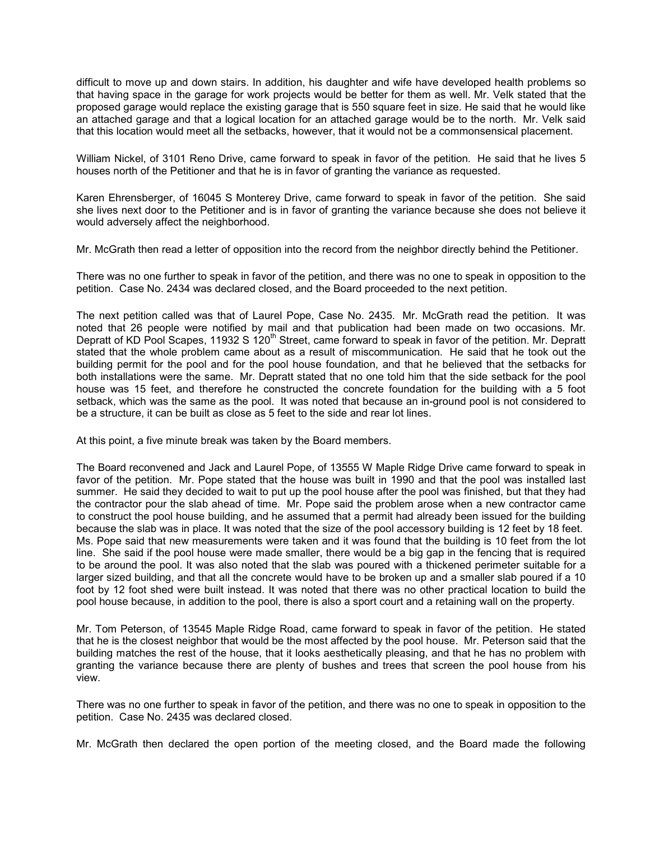difficult to move up and down stairs. In addition, his daughter and wife have developed health problems so that having space in the garage for work projects would be better for them as well. Mr. Velk stated that the proposed garage would replace the existing garage that is 550 square feet in size. He said that he would like an attached garage and that a logical location for an attached garage would be to the north. Mr. Velk said that this location would meet all the setbacks, however, that it would not be a commonsensical placement.

William Nickel, of 3101 Reno Drive, came forward to speak in favor of the petition. He said that he lives 5 houses north of the Petitioner and that he is in favor of granting the variance as requested.

Karen Ehrensberger, of 16045 S Monterey Drive, came forward to speak in favor of the petition. She said she lives next door to the Petitioner and is in favor of granting the variance because she does not believe it would adversely affect the neighborhood.

Mr. McGrath then read a letter of opposition into the record from the neighbor directly behind the Petitioner.

There was no one further to speak in favor of the petition, and there was no one to speak in opposition to the petition. Case No. 2434 was declared closed, and the Board proceeded to the next petition.

The next petition called was that of Laurel Pope, Case No. 2435. Mr. McGrath read the petition. It was noted that 26 people were notified by mail and that publication had been made on two occasions. Mr. Depratt of KD Pool Scapes, 11932 S 120<sup>th</sup> Street, came forward to speak in favor of the petition. Mr. Depratt stated that the whole problem came about as a result of miscommunication. He said that he took out the building permit for the pool and for the pool house foundation, and that he believed that the setbacks for both installations were the same. Mr. Depratt stated that no one told him that the side setback for the pool house was 15 feet, and therefore he constructed the concrete foundation for the building with a 5 foot setback, which was the same as the pool. It was noted that because an in-ground pool is not considered to be a structure, it can be built as close as 5 feet to the side and rear lot lines.

At this point, a five minute break was taken by the Board members.

The Board reconvened and Jack and Laurel Pope, of 13555 W Maple Ridge Drive came forward to speak in favor of the petition. Mr. Pope stated that the house was built in 1990 and that the pool was installed last summer. He said they decided to wait to put up the pool house after the pool was finished, but that they had the contractor pour the slab ahead of time. Mr. Pope said the problem arose when a new contractor came to construct the pool house building, and he assumed that a permit had already been issued for the building because the slab was in place. It was noted that the size of the pool accessory building is 12 feet by 18 feet. Ms. Pope said that new measurements were taken and it was found that the building is 10 feet from the lot line. She said if the pool house were made smaller, there would be a big gap in the fencing that is required to be around the pool. It was also noted that the slab was poured with a thickened perimeter suitable for a larger sized building, and that all the concrete would have to be broken up and a smaller slab poured if a 10 foot by 12 foot shed were built instead. It was noted that there was no other practical location to build the pool house because, in addition to the pool, there is also a sport court and a retaining wall on the property.

Mr. Tom Peterson, of 13545 Maple Ridge Road, came forward to speak in favor of the petition. He stated that he is the closest neighbor that would be the most affected by the pool house. Mr. Peterson said that the building matches the rest of the house, that it looks aesthetically pleasing, and that he has no problem with granting the variance because there are plenty of bushes and trees that screen the pool house from his view.

There was no one further to speak in favor of the petition, and there was no one to speak in opposition to the petition. Case No. 2435 was declared closed.

Mr. McGrath then declared the open portion of the meeting closed, and the Board made the following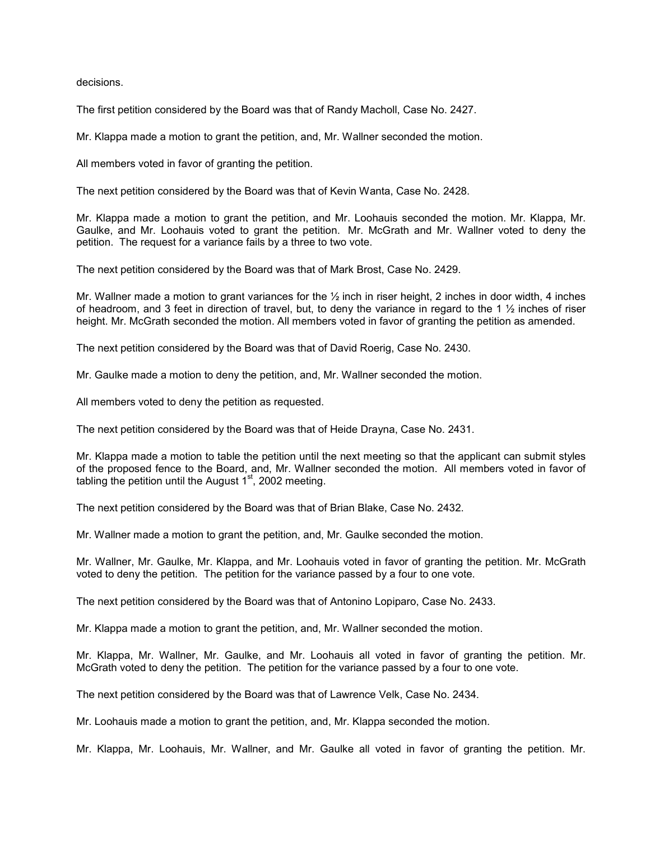decisions.

The first petition considered by the Board was that of Randy Macholl, Case No. 2427.

Mr. Klappa made a motion to grant the petition, and, Mr. Wallner seconded the motion.

All members voted in favor of granting the petition.

The next petition considered by the Board was that of Kevin Wanta, Case No. 2428.

Mr. Klappa made a motion to grant the petition, and Mr. Loohauis seconded the motion. Mr. Klappa, Mr. Gaulke, and Mr. Loohauis voted to grant the petition. Mr. McGrath and Mr. Wallner voted to deny the petition. The request for a variance fails by a three to two vote.

The next petition considered by the Board was that of Mark Brost, Case No. 2429.

Mr. Wallner made a motion to grant variances for the  $\frac{1}{2}$  inch in riser height, 2 inches in door width, 4 inches of headroom, and 3 feet in direction of travel, but, to deny the variance in regard to the 1  $\frac{1}{2}$  inches of riser height. Mr. McGrath seconded the motion. All members voted in favor of granting the petition as amended.

The next petition considered by the Board was that of David Roerig, Case No. 2430.

Mr. Gaulke made a motion to deny the petition, and, Mr. Wallner seconded the motion.

All members voted to deny the petition as requested.

The next petition considered by the Board was that of Heide Drayna, Case No. 2431.

Mr. Klappa made a motion to table the petition until the next meeting so that the applicant can submit styles of the proposed fence to the Board, and, Mr. Wallner seconded the motion. All members voted in favor of tabling the petition until the August  $1<sup>st</sup>$ , 2002 meeting.

The next petition considered by the Board was that of Brian Blake, Case No. 2432.

Mr. Wallner made a motion to grant the petition, and, Mr. Gaulke seconded the motion.

Mr. Wallner, Mr. Gaulke, Mr. Klappa, and Mr. Loohauis voted in favor of granting the petition. Mr. McGrath voted to deny the petition. The petition for the variance passed by a four to one vote.

The next petition considered by the Board was that of Antonino Lopiparo, Case No. 2433.

Mr. Klappa made a motion to grant the petition, and, Mr. Wallner seconded the motion.

Mr. Klappa, Mr. Wallner, Mr. Gaulke, and Mr. Loohauis all voted in favor of granting the petition. Mr. McGrath voted to deny the petition. The petition for the variance passed by a four to one vote.

The next petition considered by the Board was that of Lawrence Velk, Case No. 2434.

Mr. Loohauis made a motion to grant the petition, and, Mr. Klappa seconded the motion.

Mr. Klappa, Mr. Loohauis, Mr. Wallner, and Mr. Gaulke all voted in favor of granting the petition. Mr.